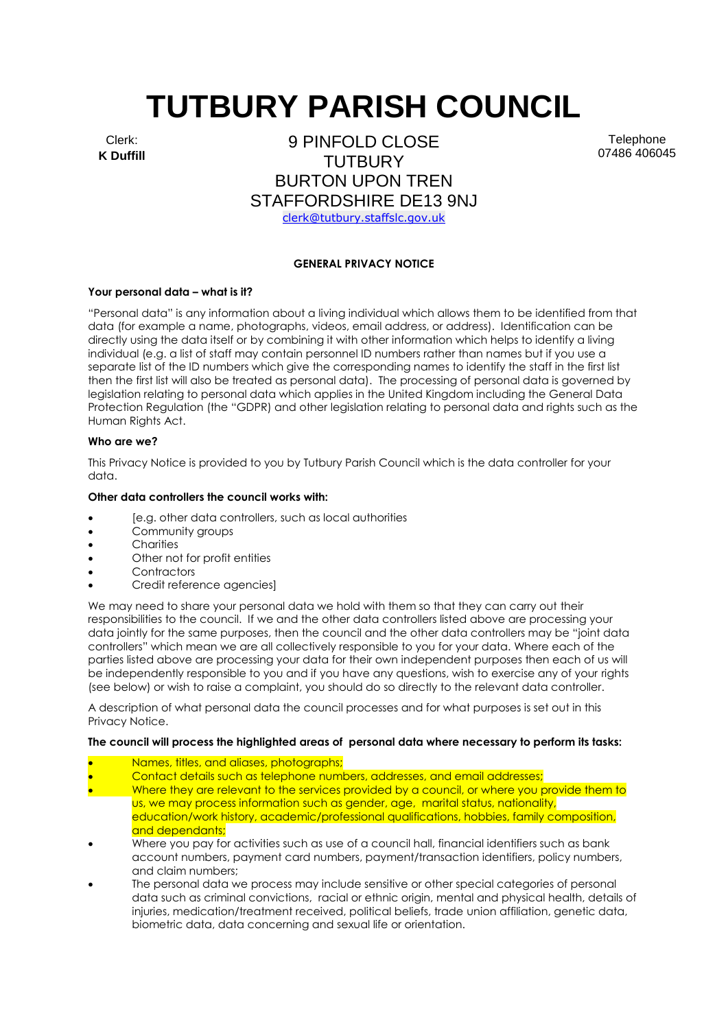# **TUTBURY PARISH COUNCIL**

Clerk: **K Duffill**

9 PINFOLD CLOSE TUTBURY BURTON UPON TREN STAFFORDSHIRE DE13 9NJ [clerk@tutbury.staffslc.gov.uk](mailto:clerk@tutbury.staffslc.gov.uk)

Telephone 07486 406045

# **GENERAL PRIVACY NOTICE**

#### **Your personal data – what is it?**

"Personal data" is any information about a living individual which allows them to be identified from that data (for example a name, photographs, videos, email address, or address). Identification can be directly using the data itself or by combining it with other information which helps to identify a living individual (e.g. a list of staff may contain personnel ID numbers rather than names but if you use a separate list of the ID numbers which give the corresponding names to identify the staff in the first list then the first list will also be treated as personal data). The processing of personal data is governed by legislation relating to personal data which applies in the United Kingdom including the General Data Protection Regulation (the "GDPR) and other legislation relating to personal data and rights such as the Human Rights Act.

#### **Who are we?**

This Privacy Notice is provided to you by Tutbury Parish Council which is the data controller for your data.

#### **Other data controllers the council works with:**

- [e.g. other data controllers, such as local authorities
- Community groups
- **Charities**
- Other not for profit entities
- **Contractors**
- Credit reference agencies]

We may need to share your personal data we hold with them so that they can carry out their responsibilities to the council. If we and the other data controllers listed above are processing your data jointly for the same purposes, then the council and the other data controllers may be "joint data controllers" which mean we are all collectively responsible to you for your data. Where each of the parties listed above are processing your data for their own independent purposes then each of us will be independently responsible to you and if you have any questions, wish to exercise any of your rights (see below) or wish to raise a complaint, you should do so directly to the relevant data controller.

A description of what personal data the council processes and for what purposes is set out in this Privacy Notice.

# **The council will process the highlighted areas of personal data where necessary to perform its tasks:**

- Names, titles, and aliases, photographs;
- Contact details such as telephone numbers, addresses, and email addresses;
- Where they are relevant to the services provided by a council, or where you provide them to us, we may process information such as gender, age, marital status, nationality, education/work history, academic/professional qualifications, hobbies, family composition, and dependants;
- Where you pay for activities such as use of a council hall, financial identifiers such as bank account numbers, payment card numbers, payment/transaction identifiers, policy numbers, and claim numbers;
- The personal data we process may include sensitive or other special categories of personal data such as criminal convictions, racial or ethnic origin, mental and physical health, details of injuries, medication/treatment received, political beliefs, trade union affiliation, genetic data, biometric data, data concerning and sexual life or orientation.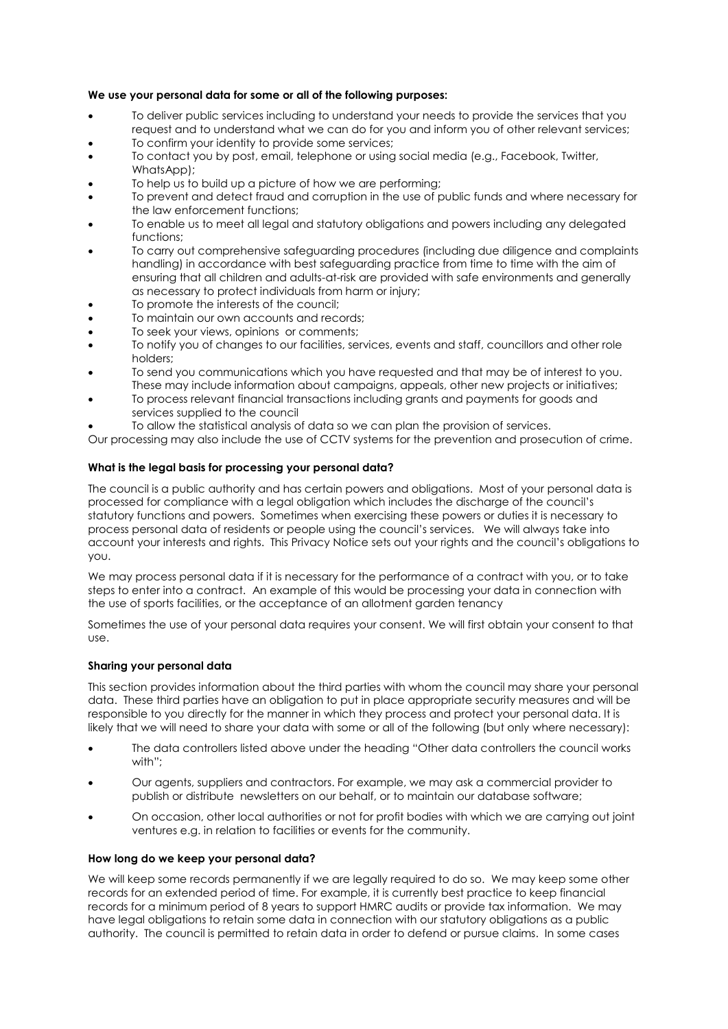# **We use your personal data for some or all of the following purposes:**

- To deliver public services including to understand your needs to provide the services that you request and to understand what we can do for you and inform you of other relevant services;
- To confirm your identity to provide some services;
- To contact you by post, email, telephone or using social media (e.g., Facebook, Twitter, WhatsApp);
- To help us to build up a picture of how we are performing:
- To prevent and detect fraud and corruption in the use of public funds and where necessary for the law enforcement functions;
- To enable us to meet all legal and statutory obligations and powers including any delegated functions;
- To carry out comprehensive safeguarding procedures (including due diligence and complaints handling) in accordance with best safeguarding practice from time to time with the aim of ensuring that all children and adults-at-risk are provided with safe environments and generally as necessary to protect individuals from harm or injury;
- To promote the interests of the council:
- To maintain our own accounts and records;
- To seek your views, opinions or comments;
- To notify you of changes to our facilities, services, events and staff, councillors and other role holders;
- To send you communications which you have requested and that may be of interest to you. These may include information about campaigns, appeals, other new projects or initiatives;
- To process relevant financial transactions including grants and payments for goods and services supplied to the council
- To allow the statistical analysis of data so we can plan the provision of services.

Our processing may also include the use of CCTV systems for the prevention and prosecution of crime.

# **What is the legal basis for processing your personal data?**

The council is a public authority and has certain powers and obligations. Most of your personal data is processed for compliance with a legal obligation which includes the discharge of the council's statutory functions and powers. Sometimes when exercising these powers or duties it is necessary to process personal data of residents or people using the council's services. We will always take into account your interests and rights. This Privacy Notice sets out your rights and the council's obligations to you.

We may process personal data if it is necessary for the performance of a contract with you, or to take steps to enter into a contract. An example of this would be processing your data in connection with the use of sports facilities, or the acceptance of an allotment garden tenancy

Sometimes the use of your personal data requires your consent. We will first obtain your consent to that use.

# **Sharing your personal data**

This section provides information about the third parties with whom the council may share your personal data. These third parties have an obligation to put in place appropriate security measures and will be responsible to you directly for the manner in which they process and protect your personal data. It is likely that we will need to share your data with some or all of the following (but only where necessary):

- The data controllers listed above under the heading "Other data controllers the council works with";
- Our agents, suppliers and contractors. For example, we may ask a commercial provider to publish or distribute newsletters on our behalf, or to maintain our database software;
- On occasion, other local authorities or not for profit bodies with which we are carrying out joint ventures e.g. in relation to facilities or events for the community.

# **How long do we keep your personal data?**

We will keep some records permanently if we are legally required to do so. We may keep some other records for an extended period of time. For example, it is currently best practice to keep financial records for a minimum period of 8 years to support HMRC audits or provide tax information. We may have legal obligations to retain some data in connection with our statutory obligations as a public authority. The council is permitted to retain data in order to defend or pursue claims. In some cases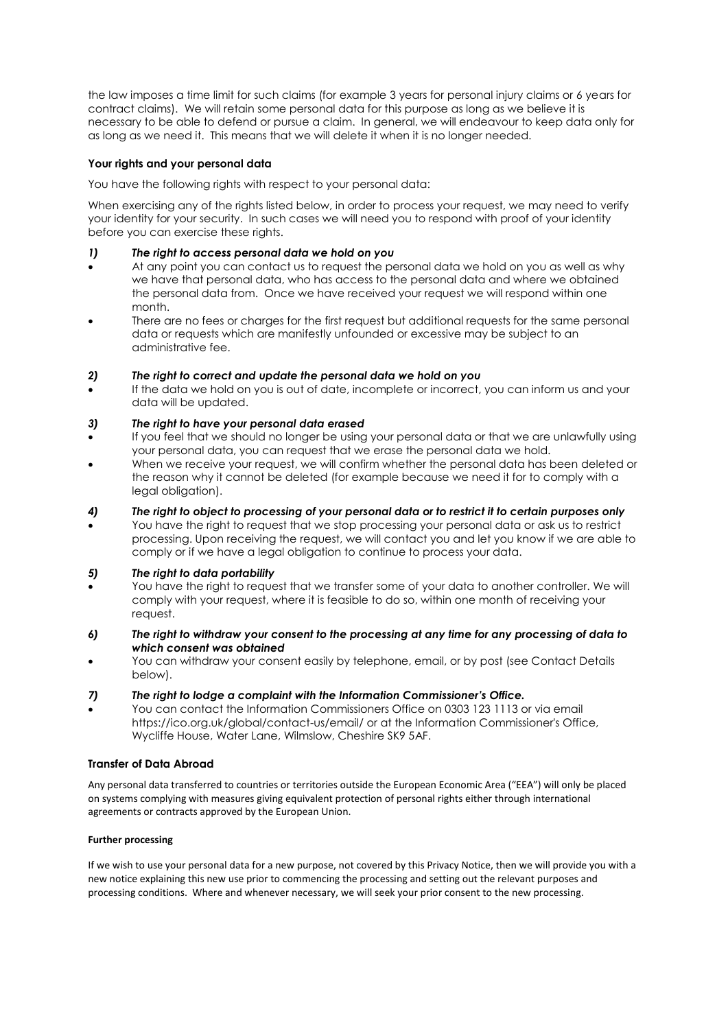the law imposes a time limit for such claims (for example 3 years for personal injury claims or 6 years for contract claims). We will retain some personal data for this purpose as long as we believe it is necessary to be able to defend or pursue a claim. In general, we will endeavour to keep data only for as long as we need it. This means that we will delete it when it is no longer needed.

# **Your rights and your personal data**

You have the following rights with respect to your personal data:

When exercising any of the rights listed below, in order to process your request, we may need to verify your identity for your security. In such cases we will need you to respond with proof of your identity before you can exercise these rights.

# *1) The right to access personal data we hold on you*

- At any point you can contact us to request the personal data we hold on you as well as why we have that personal data, who has access to the personal data and where we obtained the personal data from. Once we have received your request we will respond within one month.
- There are no fees or charges for the first request but additional requests for the same personal data or requests which are manifestly unfounded or excessive may be subject to an administrative fee.

# *2) The right to correct and update the personal data we hold on you*

If the data we hold on you is out of date, incomplete or incorrect, you can inform us and your data will be updated.

# *3) The right to have your personal data erased*

- If you feel that we should no longer be using your personal data or that we are unlawfully using your personal data, you can request that we erase the personal data we hold.
- When we receive your request, we will confirm whether the personal data has been deleted or the reason why it cannot be deleted (for example because we need it for to comply with a legal obligation).

# *4) The right to object to processing of your personal data or to restrict it to certain purposes only*

• You have the right to request that we stop processing your personal data or ask us to restrict processing. Upon receiving the request, we will contact you and let you know if we are able to comply or if we have a legal obligation to continue to process your data.

# *5) The right to data portability*

- You have the right to request that we transfer some of your data to another controller. We will comply with your request, where it is feasible to do so, within one month of receiving your request.
- *6) The right to withdraw your consent to the processing at any time for any processing of data to which consent was obtained*
- You can withdraw your consent easily by telephone, email, or by post (see Contact Details below).
- *7) The right to lodge a complaint with the Information Commissioner's Office.*
- You can contact the Information Commissioners Office on 0303 123 1113 or via email https://ico.org.uk/global/contact-us/email/ or at the Information Commissioner's Office, Wycliffe House, Water Lane, Wilmslow, Cheshire SK9 5AF.

# **Transfer of Data Abroad**

Any personal data transferred to countries or territories outside the European Economic Area ("EEA") will only be placed on systems complying with measures giving equivalent protection of personal rights either through international agreements or contracts approved by the European Union.

# **Further processing**

If we wish to use your personal data for a new purpose, not covered by this Privacy Notice, then we will provide you with a new notice explaining this new use prior to commencing the processing and setting out the relevant purposes and processing conditions. Where and whenever necessary, we will seek your prior consent to the new processing.